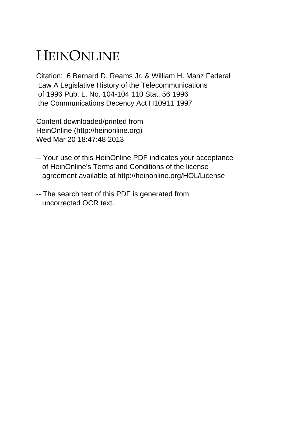## HEINONLINE

Citation: 6 Bernard D. Reams Jr. & William H. Manz Federal Law A Legislative History of the Telecommunications of 1996 Pub. L. No. 104-104 110 Stat. 56 1996 the Communications Decency Act H10911 1997

Content downloaded/printed from HeinOnline (http://heinonline.org) Wed Mar 20 18:47:48 2013

- -- Your use of this HeinOnline PDF indicates your acceptance of HeinOnline's Terms and Conditions of the license agreement available at http://heinonline.org/HOL/License
- -- The search text of this PDF is generated from uncorrected OCR text.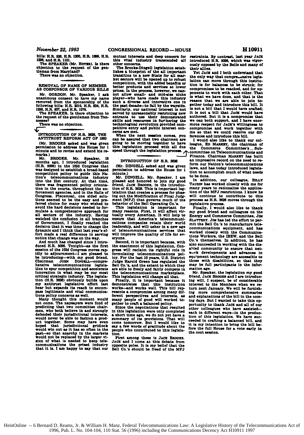**bills:** H.R. 85X, H.R. **100,** H.R. **100, FH.** 1296, and **H.R. 1151.**

**The** SPEAKER (Mr. HorEn). **Is** there objection to the request of the gen-<br>tleman from **Maryland?** 

There was no objection.

REMOVAL OF **NAME OF** MEMBER **AS** COSPONSOR **OF** VARIOUS **BILLS**

**Mr.** GORDON. Mr. Speaker. **I ask** unanimous consent to **have** my name removed from the sponsorship of the following **bills:** H.R. **2010,** H.R. **f4,** H.R. **196.** H.R. **93?, and** H.R. **1078.**

**The** SPEAKER. Is there objection to the request of the gentleman from Ten-**nessee?**

There was no objection.

INTROIDUCTION OF H.R. 393, THE ANTITRUST REFORM **ACT** OF **199**

**(Mr. BROOKS asked and** was given permission to address the House for **<sup>1</sup>** minute and to revise and extend his **re-** marks.)

months ago, I introduced legislation months ago. **I** introduced legislation (H.R. **8096)** in the **102d** Congress that was **designed** to establish **a** broad-based competition policy to guide this **Na**tion's telecommunications Industry into the 21st century. At that time, there **was** fragmented policy orientatIon In the courts, throughout the en- forcement agencies, and in the **Halls** of Congress. Piecemeal, one **sided** solutions seemed to be the easy and pre-<br>ferred choice for many who wished to<br>avoid the hard decisions needed to formulate **a** comprehensive **approach** for **all** sectors of the Industry. Having watched the confuslon In **all** branches **of** Government. **I** finally reached the decision that it was time to change the dynamic and **I** think that last year's **ef-**

fort made **a** real difference in serving notice that change was on the way. And much has changed since **I** intro-duced H.R. **50W8.** Tonight--as the first session of the 103d Congress moves rap-<br>did y to adjournment--I am pleased to<br>be introducing-with my good friend,<br>be introducing-with my good friend,<br>Chairman JoBN DINOSLL-compre-<br>hensive telecommunications and accelerate<br> innovation in what may be our most<br>circlical strategic industry. The legisla-<br>tion (H.R. 3626) obviously builds upon<br>my antitrust legislative effort last<br>hear but expands its reach to encom-<br>pass legitimate and vital commu tions policy concerns as well.<br>Many thought this moment would

not come. The naysayers were fond of predicting that two committee chairmen, who both believe in and strongly<br>defended their jurisdictional interests,<br>would never be able to fashion a prod-<br>uct together. Some may have even<br>hoped that jurisdictional gridlock<br>would win out as it has so often in past-so that anarchy In the markets would not be replaced **by** the larger vi**slion** of what **Is** needed to keep tele-communications the prised Industry **that** it **is. I am happy to say** that our

The Brooks-Dingell legislation estab- their **allies. lishes a blueprint of the all important Yet <b>JACK** and I both understand that transition to a new State for all mar-<br>the only way that compressentive legistransition to a new State for all mar-<br>the only way that compressint be selectors will be opened up to robust<br>hation can move through this institu-<br>competition, with the added benefits or tion is for balances to be struck: better products and services at lower<br>prices. In the process, however, we canprices. In the process, however, we can-compromises to be reached, and for op<br>not allow small- and **mid-size** niche ponents to work with each other. That is player--who have made this industry is what we have done, and that **is** the **such** a **diverse and innovative one in** reason that we **are able** to join **to**past decade-to fall by the wayside. gether today and introduce this bill. It can be called the past decade-to fall by the wayside. gether today and introduce this bill. It can find the Sill. It was exacted; Similarly, our national interest is not served by unreasonably restricting new served by unreasonably restricting new it is not a bill that **JACK would have entrants** to use their demonstrated authored. But it is a compromise that all resources in furthering the we can both support, and I have enor-

can be assured that two chairmen are I would also like to thank our colecing to be moving together to have league. ED MARKET, the chairman of going to be moving together to have league, **ED MARIST**, the chairman of this legislation proceed with all due the Commerce Committee's Sub-

(Mr. DINGELL asked and was given permission to address the House for 1 minute.)

Mr. **DINOELL.** Mr. Speaker. **I am** to be done. pleased and honored to join my good In addition, our colleague, **BnLY**<br>friend, JACK BROOKS, in the introduc- TAUZIN has worked closely with me for pheased was increased to *John in* your TAUEIN has worked closely with me for<br>tion of H.R. 3626. This is important leg- many years to rationalize the applica-<br>deletion that creates a mooses for phase tion of the MF.I restr islation that creates a process for phas-<br>ing out the Modification of Final Judg-

This legislation is important for Finally. I would also like to thank<br>any reasons. First, it will affect vir- my good friend and colleagues on the many reasons. First, it will affect vir-<br>tually every American. It will help to tually every American. It will help to Energy and Commerce Committee, Just anisotre that America's telecommuni- SLATTERY. JIM has led the effort to per-<br>cations companies retain their world mit the Bell Co.'s to manufactur leadership, and will usher in a new age communications equipment, and has a hasp of telecommunications ervices that worked closely with the Communications of the manuscripment, and has of telecommunications services that will improve the quality of life for ev-<br>tions Workers, the IBEW, and the Bell eryone.

gress will reclaim its rightful role in abled community to ensure that net-<br>formulating telecommunications rol. work developments and advances in formulating telecommunications pol- work developments and advances in<br>icy, For the last 10 years, U.S. District, equipment technology are accessible to icy. For the lset **10** years, **U.S.** District equipment technology are **aomsible** to Judge Harold Green has regulated the those with disabilities, so that they<br>Judge Harold Green has regulated they may be full participants in the infor-Bell Co.'s, and the extent to which they may be full participants in the infor-<br>are able to freely and fairly compete in mation age.<br>the telecommunications marketplace. Mr. Speaker, the legislation my good<br>the telecommunic

demonstrates that this institution interest to the Members when we re-works-and works well. This bill rep- turn next January. We will be furnish-resents a compromise among many dif- ing more comprehensive summaries ferent

Since the negotiations that resulted other colleagues who have assisted—<br>in this legislation were only completed each in different ways—in the produc-<br>a short time ago, we do not yet have a toon of this legislation. We ha say a few words of gratitude about the **fore** the full House for a vote early in people who contributed to this legisla- the **next session.** tion.

First among these **is** JACK **BROOKS. JACK** and **I** come **at** this debate from opposite poles. It **is** my belief that the Bell Co.'s should **be** freed of the **MFJ**

mutual Interests and **deep** concern for restraints. **By** contrast, last year **JACK** other concerns.<br>The Brooks-Dingell legislation estab-<br>their allies.<br>The Brooks-Dingell legislation estab-<br>their allies.

technological revolution provided com-<br>mous respect for JACK's willingness to<br>petitive entry and public interest con-<br>compromise and work together with<br>cerniare met.<br>When the next seesion comes, you me so that we could res

this legislation proceed with all due the Commerce Committee's ... Subspeed through the legislation process.  $\bigwedge$  committee on Telecommunications and **---** Finance. Chairman MARM **has** built INTRODUCTION **INTRODUCTION INTRODUCTION**<br> **INTRODUCTION**<br> **INTRODUCTION** tion to accomplish much of what needs<br>to be done.

Ing out the Modification of Final Judg- will continue to contribute to this ment [MFJ] that governs much of the process as H.R. 3026 moves through the behavior of the Bell Operating Co.'s. legislative process.

Second, it **is** important because. with **Co.'s themselves, In addition, he has** also succeeded in working with the dis-<br>abled community to ensure that net-

This legislation will change all that. friend, **JACK BROOKS** and **I** are introduo-<br>Finally, it is important because it ing will, I suspect, be of considerable many people of good will worked to-<br>ing days. But I wanted to take this op-<br>gether to craft a balanced policy.<br>portunity to thank JACK and all of our<br>Bince the negotiations that resulted other colleagues who have assisted—

HeinOnline -- 6 Bernard D. Reams, Jr. & William H. Manz, Federal Telecommunications Law: A Legislative History of the Telecommunications Act of 1996, Pub. L. No. 104-104, 110 Stat. 56 (1996) including the Communications Decency Act H10911 1997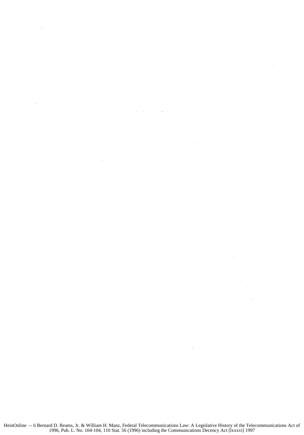HeinOnline -- 6 Bernard D. Reams, Jr. & William H. Manz, Federal Telecommunications Law: A Legislative History of the Telecommunications Act of 1996, Pub. L. No. 104-104, 110 Stat. 56 (1996) including the Communications Decency Act [lxxxvi] 1997

 $\sim 10^{11}$  km  $^{-1}$ 

 $\sim$   $\sim$ 

 $\mathcal{L}^{\mathcal{L}}$  and  $\mathcal{L}^{\mathcal{L}}$  are  $\mathcal{L}^{\mathcal{L}}$  . The set of  $\mathcal{L}^{\mathcal{L}}$ 

 $\sim 10^{-11}$ 

 $\sim$   $\sim$ 

 $\frac{1}{2}$  .

 $\sim$  .

 $\hat{A}$ 

 $\bar{z}$ 

 $\mathcal{L}_{\mathcal{A}}$ 

 $\sim 10^{-11}$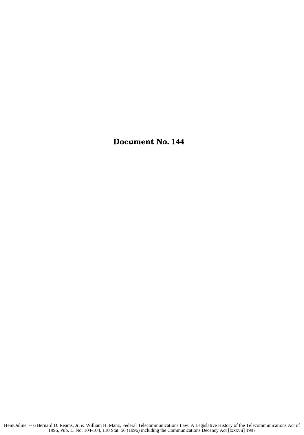Document No. 144